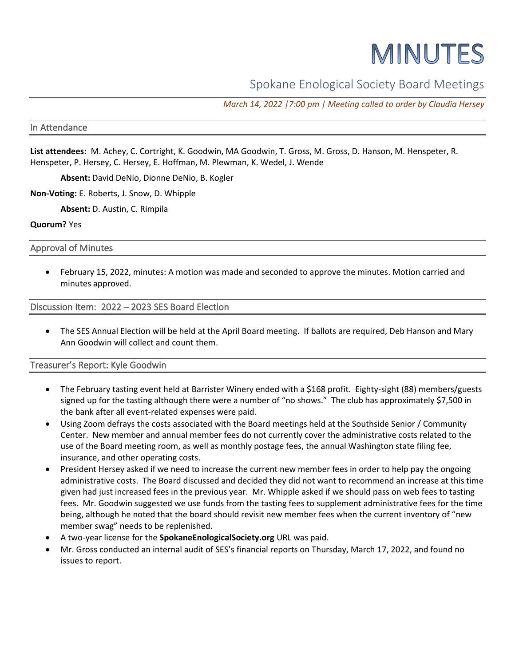# MINUTES

Spokane Enological Society Board Meetings

*March 14, 2022 |7:00 pm | Meeting called to order by Claudia Hersey*

#### In Attendance

**List attendees:** M. Achey, C. Cortright, K. Goodwin, MA Goodwin, T. Gross, M. Gross, D. Hanson, M. Henspeter, R. Henspeter, P. Hersey, C. Hersey, E. Hoffman, M. Plewman, K. Wedel, J. Wende

**Absent:** David DeNio, Dionne DeNio, B. Kogler

**Non-Voting:** E. Roberts, J. Snow, D. Whipple

**Absent:** D. Austin, C. Rimpila

**Quorum?** Yes

Approval of Minutes

• February 15, 2022, minutes: A motion was made and seconded to approve the minutes. Motion carried and minutes approved.

### Discussion Item: 2022 – 2023 SES Board Election

• The SES Annual Election will be held at the April Board meeting. If ballots are required, Deb Hanson and Mary Ann Goodwin will collect and count them.

Treasurer's Report: Kyle Goodwin

- The February tasting event held at Barrister Winery ended with a \$168 profit. Eighty-sight (88) members/guests signed up for the tasting although there were a number of "no shows." The club has approximately \$7,500 in the bank after all event-related expenses were paid.
- Using Zoom defrays the costs associated with the Board meetings held at the Southside Senior / Community Center. New member and annual member fees do not currently cover the administrative costs related to the use of the Board meeting room, as well as monthly postage fees, the annual Washington state filing fee, insurance, and other operating costs.
- President Hersey asked if we need to increase the current new member fees in order to help pay the ongoing administrative costs. The Board discussed and decided they did not want to recommend an increase at this time given had just increased fees in the previous year. Mr. Whipple asked if we should pass on web fees to tasting fees. Mr. Goodwin suggested we use funds from the tasting fees to supplement administrative fees for the time being, although he noted that the board should revisit new member fees when the current inventory of "new member swag" needs to be replenished.
- A two-year license for the **SpokaneEnologicalSociety.org** URL was paid.
- Mr. Gross conducted an internal audit of SES's financial reports on Thursday, March 17, 2022, and found no issues to report.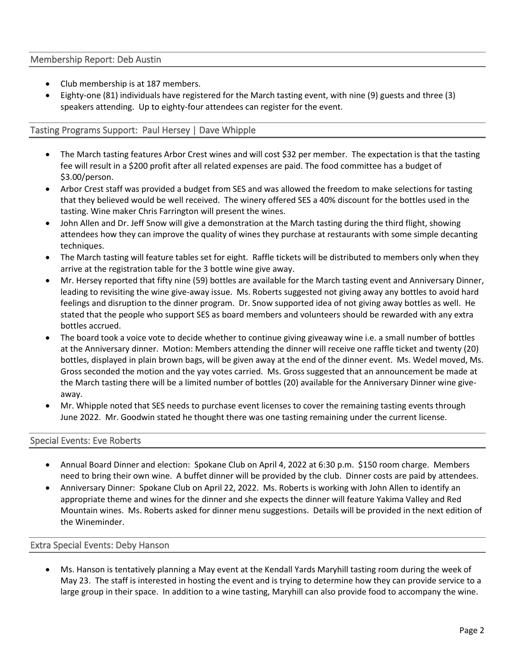## Membership Report: Deb Austin

- Club membership is at 187 members.
- Eighty-one (81) individuals have registered for the March tasting event, with nine (9) guests and three (3) speakers attending. Up to eighty-four attendees can register for the event.

# Tasting Programs Support: Paul Hersey | Dave Whipple

- The March tasting features Arbor Crest wines and will cost \$32 per member. The expectation is that the tasting fee will result in a \$200 profit after all related expenses are paid. The food committee has a budget of \$3.00/person.
- Arbor Crest staff was provided a budget from SES and was allowed the freedom to make selections for tasting that they believed would be well received. The winery offered SES a 40% discount for the bottles used in the tasting. Wine maker Chris Farrington will present the wines.
- John Allen and Dr. Jeff Snow will give a demonstration at the March tasting during the third flight, showing attendees how they can improve the quality of wines they purchase at restaurants with some simple decanting techniques.
- The March tasting will feature tables set for eight. Raffle tickets will be distributed to members only when they arrive at the registration table for the 3 bottle wine give away.
- Mr. Hersey reported that fifty nine (59) bottles are available for the March tasting event and Anniversary Dinner, leading to revisiting the wine give-away issue. Ms. Roberts suggested not giving away any bottles to avoid hard feelings and disruption to the dinner program. Dr. Snow supported idea of not giving away bottles as well. He stated that the people who support SES as board members and volunteers should be rewarded with any extra bottles accrued.
- The board took a voice vote to decide whether to continue giving giveaway wine i.e. a small number of bottles at the Anniversary dinner. Motion: Members attending the dinner will receive one raffle ticket and twenty (20) bottles, displayed in plain brown bags, will be given away at the end of the dinner event. Ms. Wedel moved, Ms. Gross seconded the motion and the yay votes carried. Ms. Gross suggested that an announcement be made at the March tasting there will be a limited number of bottles (20) available for the Anniversary Dinner wine giveaway.
- Mr. Whipple noted that SES needs to purchase event licenses to cover the remaining tasting events through June 2022. Mr. Goodwin stated he thought there was one tasting remaining under the current license.

## Special Events: Eve Roberts

- Annual Board Dinner and election: Spokane Club on April 4, 2022 at 6:30 p.m. \$150 room charge. Members need to bring their own wine. A buffet dinner will be provided by the club. Dinner costs are paid by attendees.
- Anniversary Dinner: Spokane Club on April 22, 2022. Ms. Roberts is working with John Allen to identify an appropriate theme and wines for the dinner and she expects the dinner will feature Yakima Valley and Red Mountain wines. Ms. Roberts asked for dinner menu suggestions. Details will be provided in the next edition of the Wineminder.

## Extra Special Events: Deby Hanson

• Ms. Hanson is tentatively planning a May event at the Kendall Yards Maryhill tasting room during the week of May 23. The staff is interested in hosting the event and is trying to determine how they can provide service to a large group in their space. In addition to a wine tasting, Maryhill can also provide food to accompany the wine.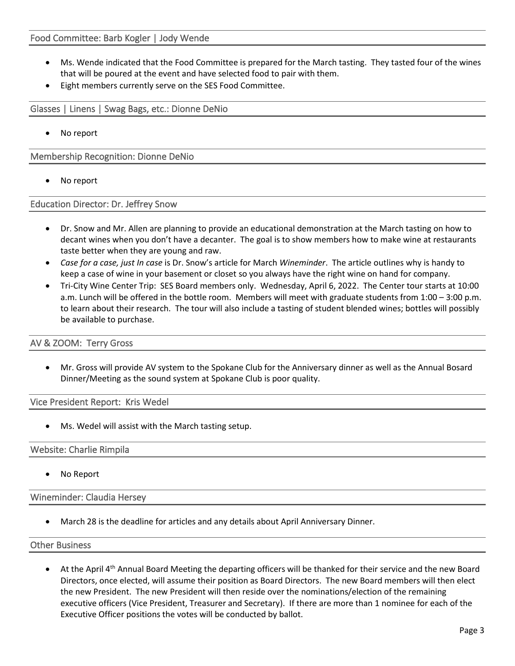- Ms. Wende indicated that the Food Committee is prepared for the March tasting. They tasted four of the wines that will be poured at the event and have selected food to pair with them.
- Eight members currently serve on the SES Food Committee.

Glasses | Linens | Swag Bags, etc.: Dionne DeNio

No report

Membership Recognition: Dionne DeNio

No report

Education Director: Dr. Jeffrey Snow

- Dr. Snow and Mr. Allen are planning to provide an educational demonstration at the March tasting on how to decant wines when you don't have a decanter. The goal is to show members how to make wine at restaurants taste better when they are young and raw.
- *Case for a case, just In case* is Dr. Snow's article for March *Wineminder*. The article outlines why is handy to keep a case of wine in your basement or closet so you always have the right wine on hand for company.
- Tri-City Wine Center Trip: SES Board members only. Wednesday, April 6, 2022. The Center tour starts at 10:00 a.m. Lunch will be offered in the bottle room. Members will meet with graduate students from 1:00 – 3:00 p.m. to learn about their research. The tour will also include a tasting of student blended wines; bottles will possibly be available to purchase.

#### AV & ZOOM: Terry Gross

• Mr. Gross will provide AV system to the Spokane Club for the Anniversary dinner as well as the Annual Bosard Dinner/Meeting as the sound system at Spokane Club is poor quality.

Vice President Report: Kris Wedel

Ms. Wedel will assist with the March tasting setup.

#### Website: Charlie Rimpila

• No Report

Wineminder: Claudia Hersey

• March 28 is the deadline for articles and any details about April Anniversary Dinner.

#### Other Business

At the April 4<sup>th</sup> Annual Board Meeting the departing officers will be thanked for their service and the new Board Directors, once elected, will assume their position as Board Directors. The new Board members will then elect the new President. The new President will then reside over the nominations/election of the remaining executive officers (Vice President, Treasurer and Secretary). If there are more than 1 nominee for each of the Executive Officer positions the votes will be conducted by ballot.